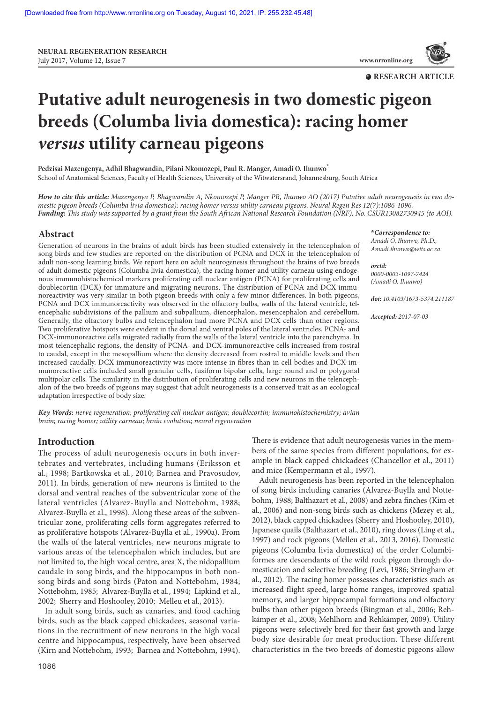**NEURAL REGENERATION RESEARCH**  July 2017,Volume 12,Issue 7 **www.nrronline.org**



# **Putative adult neurogenesis in two domestic pigeon breeds (Columba livia domestica): racing homer versus utility carneau pigeons**

**Pedzisai Mazengenya, Adhil Bhagwandin, Pilani Nkomozepi, Paul R. Manger, Amadi O. Ihunwo\*** School of Anatomical Sciences, Faculty of Health Sciences, University of the Witwatersrand, Johannesburg, South Africa

**How to cite this article:** Mazengenya P, Bhagwandin A, Nkomozepi P, Manger PR, Ihunwo AO (2017) Putative adult neurogenesis in two domestic pigeon breeds (Columba livia domestica): racing homer versus utility carneau pigeons. Neural Regen Res 12(7):1086-1096. **Funding:** This study was supported by a grant from the South African National Research Foundation (NRF), No. CSUR13082730945 (to AOI).

## **Abstract**

Generation of neurons in the brains of adult birds has been studied extensively in the telencephalon of song birds and few studies are reported on the distribution of PCNA and DCX in the telencephalon of adult non-song learning birds. We report here on adult neurogenesis throughout the brains of two breeds of adult domestic pigeons (Columba livia domestica), the racing homer and utility carneau using endogenous immunohistochemical markers proliferating cell nuclear antigen (PCNA) for proliferating cells and doublecortin (DCX) for immature and migrating neurons. The distribution of PCNA and DCX immunoreactivity was very similar in both pigeon breeds with only a few minor differences. In both pigeons, PCNA and DCX immunoreactivity was observed in the olfactory bulbs, walls of the lateral ventricle, telencephalic subdivisions of the pallium and subpallium, diencephalon, mesencephalon and cerebellum. Generally, the olfactory bulbs and telencephalon had more PCNA and DCX cells than other regions. Two proliferative hotspots were evident in the dorsal and ventral poles of the lateral ventricles. PCNA- and DCX-immunoreactive cells migrated radially from the walls of the lateral ventricle into the parenchyma. In most telencephalic regions, the density of PCNA- and DCX-immunoreactive cells increased from rostral to caudal, except in the mesopallium where the density decreased from rostral to middle levels and then increased caudally. DCX immunoreactivity was more intense in fibres than in cell bodies and DCX-immunoreactive cells included small granular cells, fusiform bipolar cells, large round and or polygonal multipolar cells. The similarity in the distribution of proliferating cells and new neurons in the telencephalon of the two breeds of pigeons may suggest that adult neurogenesis is a conserved trait as an ecological adaptation irrespective of body size.

**Key Words:** nerve regeneration; proliferating cell nuclear antigen; doublecortin; immunohistochemistry; avian brain; racing homer; utility carneau; brain evolution; neural regeneration

# **Introduction**

The process of adult neurogenesis occurs in both invertebrates and vertebrates, including humans (Eriksson et al., 1998; Bartkowska et al., 2010; Barnea and Pravosudov, 2011). In birds, generation of new neurons is limited to the dorsal and ventral reaches of the subventricular zone of the lateral ventricles (Alvarez-Buylla and Nottebohm, 1988; Alvarez-Buylla et al., 1998). Along these areas of the subventricular zone, proliferating cells form aggregates referred to as proliferative hotspots (Alvarez-Buylla et al., 1990a). From the walls of the lateral ventricles, new neurons migrate to various areas of the telencephalon which includes, but are not limited to, the high vocal centre, area X, the nidopallium caudale in song birds, and the hippocampus in both nonsong birds and song birds (Paton and Nottebohm, 1984; Nottebohm, 1985; Alvarez‐Buylla et al., 1994; Lipkind et al., 2002; Sherry and Hoshooley, 2010; Melleu et al., 2013).

In adult song birds, such as canaries, and food caching birds, such as the black capped chickadees, seasonal variations in the recruitment of new neurons in the high vocal centre and hippocampus, respectively, have been observed (Kirn and Nottebohm, 1993; Barnea and Nottebohm, 1994). There is evidence that adult neurogenesis varies in the members of the same species from different populations, for example in black capped chickadees (Chancellor et al., 2011)

and mice (Kempermann et al., 1997). Adult neurogenesis has been reported in the telencephalon of song birds including canaries (Alvarez-Buylla and Nottebohm, 1988; Balthazart et al., 2008) and zebra finches (Kim et al., 2006) and non-song birds such as chickens (Mezey et al., 2012), black capped chickadees (Sherry and Hoshooley, 2010), Japanese quails (Balthazart et al., 2010), ring doves (Ling et al., 1997) and rock pigeons (Melleu et al., 2013, 2016). Domestic pigeons (Columba livia domestica) of the order Columbiformes are descendants of the wild rock pigeon through domestication and selective breeding (Levi, 1986; Stringham et al., 2012). The racing homer possesses characteristics such as increased flight speed, large home ranges, improved spatial memory, and larger hippocampal formations and olfactory bulbs than other pigeon breeds (Bingman et al., 2006; Rehkämper et al., 2008; Mehlhorn and Rehkämper, 2009). Utility pigeons were selectively bred for their fast growth and large body size desirable for meat production. These different characteristics in the two breeds of domestic pigeons allow

**\*Correspondence to:**

Amadi O. Ihunwo, Ph.D., Amadi.ihunwo@wits.ac.za.

**orcid:**  0000-0003-1097-7424 (Amadi O. Ihunwo)

**doi:** 10.4103/1673-5374.211187

**Accepted:** 2017-07-03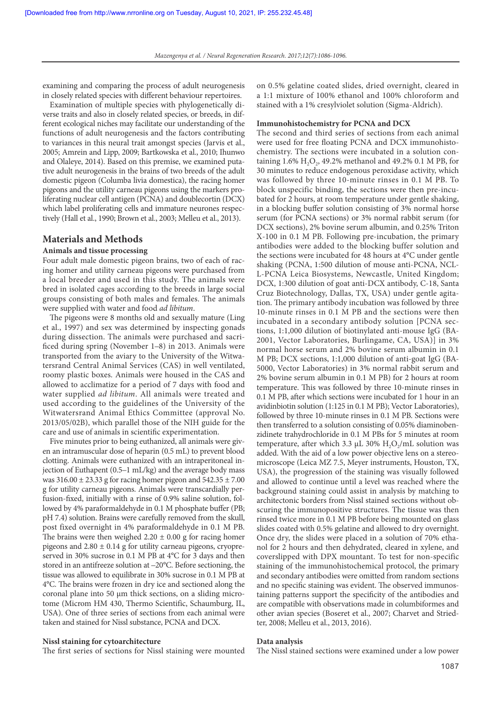examining and comparing the process of adult neurogenesis in closely related species with different behaviour repertoires.

Examination of multiple species with phylogenetically diverse traits and also in closely related species, or breeds, in different ecological niches may facilitate our understanding of the functions of adult neurogenesis and the factors contributing to variances in this neural trait amongst species (Jarvis et al., 2005; Amrein and Lipp, 2009; Bartkowska et al., 2010; Ihunwo and Olaleye, 2014). Based on this premise, we examined putative adult neurogenesis in the brains of two breeds of the adult domestic pigeon (Columba livia domestica), the racing homer pigeons and the utility carneau pigeons using the markers proliferating nuclear cell antigen (PCNA) and doublecortin (DCX) which label proliferating cells and immature neurones respectively (Hall et al., 1990; Brown et al., 2003; Melleu et al., 2013).

## **Materials and Methods**

## **Animals and tissue processing**

Four adult male domestic pigeon brains, two of each of racing homer and utility carneau pigeons were purchased from a local breeder and used in this study. The animals were bred in isolated cages according to the breeds in large social groups consisting of both males and females. The animals were supplied with water and food ad libitum.

The pigeons were 8 months old and sexually mature (Ling et al., 1997) and sex was determined by inspecting gonads during dissection. The animals were purchased and sacrificed during spring (November 1–8) in 2013. Animals were transported from the aviary to the University of the Witwatersrand Central Animal Services (CAS) in well ventilated, roomy plastic boxes. Animals were housed in the CAS and allowed to acclimatize for a period of 7 days with food and water supplied ad libitum. All animals were treated and used according to the guidelines of the University of the Witwatersrand Animal Ethics Committee (approval No. 2013/05/02B), which parallel those of the NIH guide for the care and use of animals in scientific experimentation.

Five minutes prior to being euthanized, all animals were given an intramuscular dose of heparin (0.5 mL) to prevent blood clotting. Animals were euthanized with an intraperitoneal injection of Euthapent (0.5–1 mL/kg) and the average body mass was  $316.00 \pm 23.33$  g for racing homer pigeon and  $542.35 \pm 7.00$ g for utility carneau pigeons. Animals were transcardially perfusion-fixed, initially with a rinse of 0.9% saline solution, followed by 4% paraformaldehyde in 0.1 M phosphate buffer (PB; pH 7.4) solution. Brains were carefully removed from the skull, post fixed overnight in 4% paraformaldehyde in 0.1 M PB. The brains were then weighed  $2.20 \pm 0.00$  g for racing homer pigeons and  $2.80 \pm 0.14$  g for utility carneau pigeons, cryopreserved in 30% sucrose in 0.1 M PB at 4°C for 3 days and then stored in an antifreeze solution at –20°C. Before sectioning, the tissue was allowed to equilibrate in 30% sucrose in 0.1 M PB at 4°C. The brains were frozen in dry ice and sectioned along the coronal plane into 50 µm thick sections, on a sliding microtome (Microm HM 430, Thermo Scientific, Schaumburg, IL, USA). One of three series of sections from each animal were taken and stained for Nissl substance, PCNA and DCX.

#### **Nissl staining for cytoarchitecture**

The first series of sections for Nissl staining were mounted

on 0.5% gelatine coated slides, dried overnight, cleared in a 1:1 mixture of 100% ethanol and 100% chloroform and stained with a 1% cresylviolet solution (Sigma-Aldrich).

#### **Immunohistochemistry for PCNA and DCX**

The second and third series of sections from each animal were used for free floating PCNA and DCX immunohistochemistry. The sections were incubated in a solution containing 1.6%  $H_2O_2$ , 49.2% methanol and 49.2% 0.1 M PB, for 30 minutes to reduce endogenous peroxidase activity, which was followed by three 10-minute rinses in 0.1 M PB. To block unspecific binding, the sections were then pre-incubated for 2 hours, at room temperature under gentle shaking, in a blocking buffer solution consisting of 3% normal horse serum (for PCNA sections) or 3% normal rabbit serum (for DCX sections), 2% bovine serum albumin, and 0.25% Triton X-100 in 0.1 M PB. Following pre-incubation, the primary antibodies were added to the blocking buffer solution and the sections were incubated for 48 hours at 4°C under gentle shaking (PCNA, 1:500 dilution of mouse anti-PCNA, NCL-L-PCNA Leica Biosystems, Newcastle, United Kingdom; DCX, 1:300 dilution of goat anti-DCX antibody, C-18, Santa Cruz Biotechnology, Dallas, TX, USA) under gentle agitation. The primary antibody incubation was followed by three 10-minute rinses in 0.1 M PB and the sections were then incubated in a secondary antibody solution [PCNA sections, 1:1,000 dilution of biotinylated anti-mouse IgG (BA-2001, Vector Laboratories, Burlingame, CA, USA)] in 3% normal horse serum and 2% bovine serum albumin in 0.1 M PB; DCX sections, 1:1,000 dilution of anti-goat IgG (BA-5000, Vector Laboratories) in 3% normal rabbit serum and 2% bovine serum albumin in 0.1 M PB) for 2 hours at room temperature. This was followed by three 10-minute rinses in 0.1 M PB, after which sections were incubated for 1 hour in an avidinbiotin solution (1:125 in 0.1 M PB); Vector Laboratories), followed by three 10-minute rinses in 0.1 M PB. Sections were then transferred to a solution consisting of 0.05% diaminobenzidinete trahydrochloride in 0.1 M PBs for 5 minutes at room temperature, after which 3.3  $\mu$ L 30% H<sub>2</sub>O<sub>2</sub>/mL solution was added. With the aid of a low power objective lens on a stereomicroscope (Leica MZ 7.5, Meyer instruments, Houston, TX, USA), the progression of the staining was visually followed and allowed to continue until a level was reached where the background staining could assist in analysis by matching to architectonic borders from Nissl stained sections without obscuring the immunopositive structures. The tissue was then rinsed twice more in 0.1 M PB before being mounted on glass slides coated with 0.5% gelatine and allowed to dry overnight. Once dry, the slides were placed in a solution of 70% ethanol for 2 hours and then dehydrated, cleared in xylene, and coverslipped with DPX mountant. To test for non-specific staining of the immunohistochemical protocol, the primary and secondary antibodies were omitted from random sections and no specific staining was evident. The observed immunostaining patterns support the specificity of the antibodies and are compatible with observations made in columbiformes and other avian species (Boseret et al., 2007; Charvet and Striedter, 2008; Melleu et al., 2013, 2016).

#### **Data analysis**

The Nissl stained sections were examined under a low power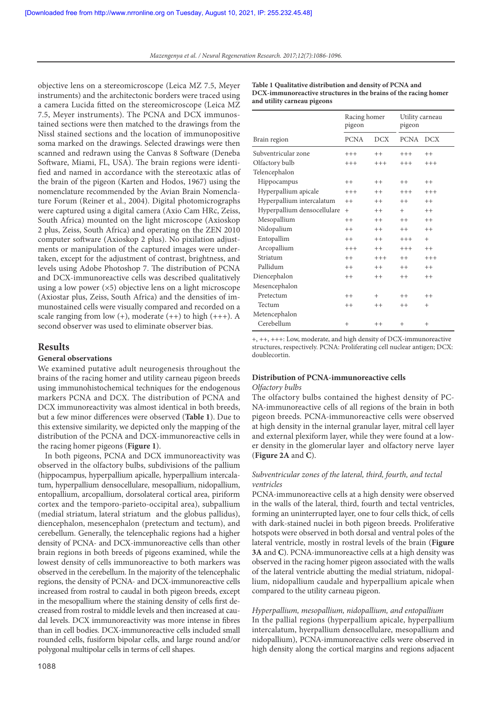objective lens on a stereomicroscope (Leica MZ 7.5, Meyer instruments) and the architectonic borders were traced using a camera Lucida fitted on the stereomicroscope (Leica MZ 7.5, Meyer instruments). The PCNA and DCX immunostained sections were then matched to the drawings from the Nissl stained sections and the location of immunopositive soma marked on the drawings. Selected drawings were then scanned and redrawn using the Canvas 8 Software (Deneba Software, Miami, FL, USA). The brain regions were identified and named in accordance with the stereotaxic atlas of the brain of the pigeon (Karten and Hodos, 1967) using the nomenclature recommended by the Avian Brain Nomenclature Forum (Reiner et al., 2004). Digital photomicrographs were captured using a digital camera (Axio Cam HRc, Zeiss, South Africa) mounted on the light microscope (Axioskop 2 plus, Zeiss, South Africa) and operating on the ZEN 2010 computer software (Axioskop 2 plus). No pixilation adjustments or manipulation of the captured images were undertaken, except for the adjustment of contrast, brightness, and levels using Adobe Photoshop 7. The distribution of PCNA and DCX-immunoreactive cells was described qualitatively using a low power  $(x5)$  objective lens on a light microscope (Axiostar plus, Zeiss, South Africa) and the densities of immunostained cells were visually compared and recorded on a scale ranging from low  $(+)$ , moderate  $(++)$  to high  $(++)$ . A second observer was used to eliminate observer bias.

# **Results**

## **General observations**

We examined putative adult neurogenesis throughout the brains of the racing homer and utility carneau pigeon breeds using immunohistochemical techniques for the endogenous markers PCNA and DCX. The distribution of PCNA and DCX immunoreactivity was almost identical in both breeds, but a few minor differences were observed (**Table 1**). Due to this extensive similarity, we depicted only the mapping of the distribution of the PCNA and DCX-immunoreactive cells in the racing homer pigeons (**Figure 1**).

In both pigeons, PCNA and DCX immunoreactivity was observed in the olfactory bulbs, subdivisions of the pallium (hippocampus, hyperpallium apicalle, hyperpallium intercalatum, hyperpallium densocellulare, mesopallium, nidopallium, entopallium, arcopallium, dorsolateral cortical area, piriform cortex and the temporo-parieto-occipital area), subpallium (medial striatum, lateral striatum and the globus pallidus), diencephalon, mesencephalon (pretectum and tectum), and cerebellum. Generally, the telencephalic regions had a higher density of PCNA- and DCX-immunoreactive cells than other brain regions in both breeds of pigeons examined, while the lowest density of cells immunoreactive to both markers was observed in the cerebellum. In the majority of the telencephalic regions, the density of PCNA- and DCX-immunoreactive cells increased from rostral to caudal in both pigeon breeds, except in the mesopallium where the staining density of cells first decreased from rostral to middle levels and then increased at caudal levels. DCX immunoreactivity was more intense in fibres than in cell bodies. DCX-immunoreactive cells included small rounded cells, fusiform bipolar cells, and large round and/or polygonal multipolar cells in terms of cell shapes.

**Table 1 Qualitative distribution and density of PCNA and DCX-immunoreactive structures in the brains of the racing homer and utility carneau pigeons**

|                             | Racing homer<br>pigeon |            | Utility carneau<br>pigeon |            |
|-----------------------------|------------------------|------------|---------------------------|------------|
| Brain region                | <b>PCNA</b>            | <b>DCX</b> | <b>PCNA</b>               | <b>DCX</b> |
| Subventricular zone         | $+++$                  | $^{++}$    | $+++$                     | $^{++}$    |
| Olfactory bulb              | $+++$                  | $^{+++}$   | $^{+++}$                  | $^{+++}$   |
| Telencephalon               |                        |            |                           |            |
| Hippocampus                 | $++$                   | $++$       | $++$                      | $^{++}$    |
| Hyperpallium apicale        | $+++$                  | $++$       | $+++$                     | $+++$      |
| Hyperpallium intercalatum   | $++$                   | $++$       | $++$                      | $++$       |
| Hyperpallium densocellulare | $^{+}$                 | $++$       | $+$                       | $^{++}$    |
| Mesopallium                 | $^{++}$                | $^{++}$    | $++$                      | $^{++}$    |
| Nidopalium                  | $++$                   | $^{++}$    | $++$                      | $^{++}$    |
| Entopallim                  | $++$                   | $++$       | $+++$                     | $+$        |
| Arcopallium                 | $+++$                  | $^{++}$    | $^{+++}$                  | $^{++}$    |
| Striatum                    | $++$                   | $+++$      | $++$                      | $^{+++}$   |
| Pallidum                    | $++$                   | $^{++}$    | $++$                      | $^{++}$    |
| Diencephalon                | $^{++}$                | $^{++}$    | $++$                      | $^{++}$    |
| Mesencephalon               |                        |            |                           |            |
| Pretectum                   | $++$                   | $+$        | $^{++}$                   | $^{++}$    |
| Tectum                      | $^{++}$                | $++$       | $^{++}$                   | $^{+}$     |
| Metencephalon               |                        |            |                           |            |
| Cerebellum                  | $+$                    | $++$       | $^{+}$                    | $^{+}$     |

+, ++, +++: Low, moderate, and high density of DCX-immunoreactive structures, respectively. PCNA: Proliferating cell nuclear antigen; DCX: doublecortin.

## **Distribution of PCNA-immunoreactive cells**

#### Olfactory bulbs

The olfactory bulbs contained the highest density of PC-NA-immunoreactive cells of all regions of the brain in both pigeon breeds. PCNA-immunoreactive cells were observed at high density in the internal granular layer, mitral cell layer and external plexiform layer, while they were found at a lower density in the glomerular layer and olfactory nerve layer (**Figure 2A** and **C**).

# Subventricular zones of the lateral, third, fourth, and tectal ventricles

PCNA-immunoreactive cells at a high density were observed in the walls of the lateral, third, fourth and tectal ventricles, forming an uninterrupted layer, one to four cells thick, of cells with dark-stained nuclei in both pigeon breeds. Proliferative hotspots were observed in both dorsal and ventral poles of the lateral ventricle, mostly in rostral levels of the brain (**Figure 3A** and **C**). PCNA-immunoreactive cells at a high density was observed in the racing homer pigeon associated with the walls of the lateral ventricle abutting the medial striatum, nidopallium, nidopallium caudale and hyperpallium apicale when compared to the utility carneau pigeon.

## Hyperpallium, mesopallium, nidopallium, and entopallium

In the pallial regions (hyperpallium apicale, hyperpallium intercalatum, hyerpallium densocellulare, mesopallium and nidopallium), PCNA-immunoreactive cells were observed in high density along the cortical margins and regions adjacent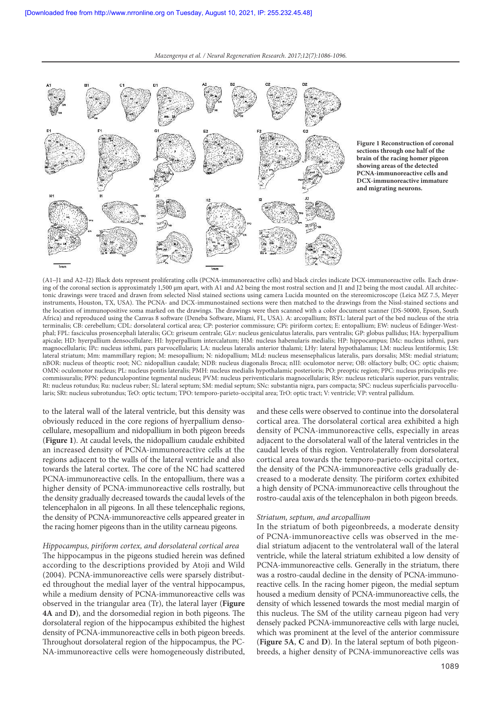

**Figure 1 Reconstruction of coronal sections through one half of the brain of the racing homer pigeon showing areas of the detected PCNA-immunoreactive cells and DCX-immunoreactive immature and migrating neurons.**

(A1–J1 and A2–J2) Black dots represent proliferating cells (PCNA-immunoreactive cells) and black circles indicate DCX-immunoreactive cells. Each drawing of the coronal section is approximately 1,500 µm apart, with A1 and A2 being the most rostral section and J1 and J2 being the most caudal. All architectonic drawings were traced and drawn from selected Nissl stained sections using camera Lucida mounted on the stereomicroscope (Leica MZ 7.5, Meyer instruments, Houston, TX, USA). The PCNA- and DCX-immunostained sections were then matched to the drawings from the Nissl-stained sections and the location of immunopositive soma marked on the drawings. The drawings were then scanned with a color document scanner (DS-50000, Epson, South Africa) and reproduced using the Canvas 8 software (Deneba Software, Miami, FL, USA). A: arcopallium; BSTL: lateral part of the bed nucleus of the stria terminalis; CB: cerebellum; CDL: dorsolateral cortical area; CP: posterior commissure; CPi: piriform cortex; E: entopallium; EW: nucleus of Edinger-Westphal; FPL: fasciculus prosencephali lateralis; GCt: griseum centrale; GLv: nucleus geniculatus lateralis, pars ventralis; GP: globus pallidus; HA: hyperpallium apicale; HD: hyerpallium densocellulare; HI: hyperpallium intercalatum; HM: nucleus habenularis medialis; HP: hippocampus; IMc: nucleus isthmi, pars magnocellularis; IPc: nucleus isthmi, pars parvocellularis; LA: nucleus lateralis anterior thalami; LHy: lateral hypothalamus; LM: nucleus lentiformis; LSt: lateral striatum; Mm: mammillary region; M: mesopallium; N: nidopallium; MLd: nucleus mesensephalicus lateralis, pars dorsalis; MSt: medial striatum; nBOR: nucleus of theoptic root; NC: nidopalliun caudale; NDB: nucleus diagonalis Broca; nIII: oculomotor nerve; OB: olfactory bulb; OC: optic chaism; OMN: oculomotor nucleus; PL: nucleus pontis lateralis; PMH: nucleus medialis hypothalamic posterioris; PO: preoptic region; PPC: nucleus principalis precommissuralis; PPN: pedunculopontine tegmental nucleus; PVM: nucleus periventicularis magnocellularis; RSv: nucleus reticularis superior, pars ventralis; Rt: nucleus rotundus; Ru: nucleus ruber; SL: lateral septum; SM: medial septum; SNc: substantia nigra, pars compacta; SPC: nucleus superficialis parvocellularis; SRt: nucleus subrotundus; TeO: optic tectum; TPO: temporo-parieto-occipital area; TrO: optic tract; V: ventricle; VP: ventral pallidum.

to the lateral wall of the lateral ventricle, but this density was obviously reduced in the core regions of hyerpallium densocellulare, mesopallium and nidopallium in both pigeon breeds (**Figure 1**). At caudal levels, the nidopallium caudale exhibited an increased density of PCNA-immunoreactive cells at the regions adjacent to the walls of the lateral ventricle and also towards the lateral cortex. The core of the NC had scattered PCNA-immunoreactive cells. In the entopallium, there was a higher density of PCNA-immunoreactive cells rostrally, but the density gradually decreased towards the caudal levels of the telencephalon in all pigeons. In all these telencephalic regions, the density of PCNA-immunoreactive cells appeared greater in the racing homer pigeons than in the utility carneau pigeons.

## Hippocampus, piriform cortex, and dorsolateral cortical area

The hippocampus in the pigeons studied herein was defined according to the descriptions provided by Atoji and Wild (2004). PCNA-immunoreactive cells were sparsely distributed throughout the medial layer of the ventral hippocampus, while a medium density of PCNA-immunoreactive cells was observed in the triangular area (Tr), the lateral layer (**Figure 4A** and **D**), and the dorsomedial region in both pigeons. The dorsolateral region of the hippocampus exhibited the highest density of PCNA-immunoreactive cells in both pigeon breeds. Throughout dorsolateral region of the hippocampus, the PC-NA-immunoreactive cells were homogeneously distributed, and these cells were observed to continue into the dorsolateral cortical area. The dorsolateral cortical area exhibited a high density of PCNA-immunoreactive cells, especially in areas adjacent to the dorsolateral wall of the lateral ventricles in the caudal levels of this region. Ventrolaterally from dorsolateral cortical area towards the temporo-parieto-occipital cortex, the density of the PCNA-immunoreactive cells gradually decreased to a moderate density. The piriform cortex exhibited a high density of PCNA-immunoreactive cells throughout the rostro-caudal axis of the telencephalon in both pigeon breeds.

## Striatum, septum, and arcopallium

In the striatum of both pigeonbreeds, a moderate density of PCNA-immunoreactive cells was observed in the medial striatum adjacent to the ventrolateral wall of the lateral ventricle, while the lateral striatum exhibited a low density of PCNA-immunoreactive cells. Generally in the striatum, there was a rostro-caudal decline in the density of PCNA-immunoreactive cells. In the racing homer pigeon, the medial septum housed a medium density of PCNA-immunoreactive cells, the density of which lessened towards the most medial margin of this nucleus. The SM of the utility carneau pigeon had very densely packed PCNA-immunoreactive cells with large nuclei, which was prominent at the level of the anterior commissure (**Figure 5A**, **C** and **D**). In the lateral septum of both pigeonbreeds, a higher density of PCNA-immunoreactive cells was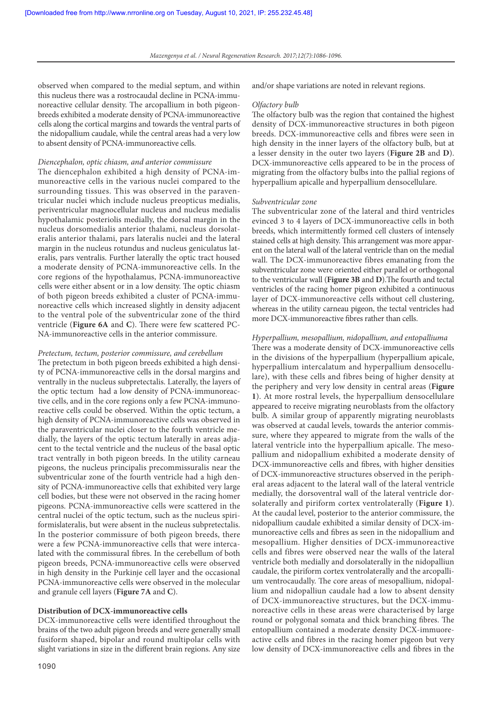observed when compared to the medial septum, and within this nucleus there was a rostrocaudal decline in PCNA-immunoreactive cellular density. The arcopallium in both pigeonbreeds exhibited a moderate density of PCNA-immunoreactive cells along the cortical margins and towards the ventral parts of the nidopallium caudale, while the central areas had a very low to absent density of PCNA-immunoreactive cells.

#### Diencephalon, optic chiasm, and anterior commissure

The diencephalon exhibited a high density of PCNA-immunoreactive cells in the various nuclei compared to the surrounding tissues. This was observed in the paraventricular nuclei which include nucleus preopticus medialis, periventricular magnocellular nucleus and nucleus medialis hypothalamic posteriolis medially, the dorsal margin in the nucleus dorsomedialis anterior thalami, nucleus dorsolateralis anterior thalami, pars lateralis nuclei and the lateral margin in the nucleus rotundus and nucleus geniculatus lateralis, pars ventralis. Further laterally the optic tract housed a moderate density of PCNA-immunoreactive cells. In the core regions of the hypothalamus, PCNA-immunoreactive cells were either absent or in a low density. The optic chiasm of both pigeon breeds exhibited a cluster of PCNA-immunoreactive cells which increased slightly in density adjacent to the ventral pole of the subventricular zone of the third ventricle (**Figure 6A** and **C**). There were few scattered PC-NA-immunoreactive cells in the anterior commissure.

#### Pretectum, tectum, posterior commissure, and cerebellum

The pretectum in both pigeon breeds exhibited a high density of PCNA-immunoreactive cells in the dorsal margins and ventrally in the nucleus subpretectalis. Laterally, the layers of the optic tectum had a low density of PCNA-immunoreactive cells, and in the core regions only a few PCNA-immunoreactive cells could be observed. Within the optic tectum, a high density of PCNA-immunoreactive cells was observed in the paraventricular nuclei closer to the fourth ventricle medially, the layers of the optic tectum laterally in areas adjacent to the tectal ventricle and the nucleus of the basal optic tract ventrally in both pigeon breeds. In the utility carneau pigeons, the nucleus principalis precommissuralis near the subventricular zone of the fourth ventricle had a high density of PCNA-immunoreactive cells that exhibited very large cell bodies, but these were not observed in the racing homer pigeons. PCNA-immunoreactive cells were scattered in the central nuclei of the optic tectum, such as the nucleus spiriformislateralis, but were absent in the nucleus subpretectalis. In the posterior commissure of both pigeon breeds, there were a few PCNA-immunoreactive cells that were intercalated with the commissural fibres. In the cerebellum of both pigeon breeds, PCNA-immunoreactive cells were observed in high density in the Purkinje cell layer and the occasional PCNA-immunoreactive cells were observed in the molecular and granule cell layers (**Figure 7A** and **C**).

## **Distribution of DCX-immunoreactive cells**

DCX-immunoreactive cells were identified throughout the brains of the two adult pigeon breeds and were generally small fusiform shaped, bipolar and round multipolar cells with slight variations in size in the different brain regions. Any size

and/or shape variations are noted in relevant regions.

#### Olfactory bulb

The olfactory bulb was the region that contained the highest density of DCX-immunoreactive structures in both pigeon breeds. DCX-immunoreactive cells and fibres were seen in high density in the inner layers of the olfactory bulb, but at a lesser density in the outer two layers (**Figure 2B** and **D**). DCX-immunoreactive cells appeared to be in the process of migrating from the olfactory bulbs into the pallial regions of hyperpallium apicalle and hyperpallium densocellulare.

#### Subventricular zone

The subventricular zone of the lateral and third ventricles evinced 3 to 4 layers of DCX-immunoreactive cells in both breeds, which intermittently formed cell clusters of intensely stained cells at high density. This arrangement was more apparent on the lateral wall of the lateral ventricle than on the medial wall. The DCX-immunoreactive fibres emanating from the subventricular zone were oriented either parallel or orthogonal to the ventricular wall (**Figure 3B** and **D**).The fourth and tectal ventricles of the racing homer pigeon exhibited a continuous layer of DCX-immunoreactive cells without cell clustering, whereas in the utility carneau pigeon, the tectal ventricles had more DCX-immunoreactive fibres rather than cells.

## Hyperpallium, mesopallium, nidopallium, and entopalliuma

There was a moderate density of DCX-immunoreactive cells in the divisions of the hyperpallium (hyperpallium apicale, hyperpallium intercalatum and hyperpallium densocellulare), with these cells and fibres being of higher density at the periphery and very low density in central areas (**Figure 1**). At more rostral levels, the hyperpallium densocellulare appeared to receive migrating neuroblasts from the olfactory bulb. A similar group of apparently migrating neuroblasts was observed at caudal levels, towards the anterior commissure, where they appeared to migrate from the walls of the lateral ventricle into the hyperpallium apicalle. The mesopallium and nidopallium exhibited a moderate density of DCX-immunoreactive cells and fibres, with higher densities of DCX-immunoreactive structures observed in the peripheral areas adjacent to the lateral wall of the lateral ventricle medially, the dorsoventral wall of the lateral ventricle dorsolaterally and piriform cortex ventrolaterally (**Figure 1**). At the caudal level, posterior to the anterior commissure, the nidopallium caudale exhibited a similar density of DCX-immunoreactive cells and fibres as seen in the nidopallium and mesopallium. Higher densities of DCX-immunoreactive cells and fibres were observed near the walls of the lateral ventricle both medially and dorsolaterally in the nidopalliun caudale, the piriform cortex ventrolaterally and the arcopallium ventrocaudally. The core areas of mesopallium, nidopallium and nidopalliun caudale had a low to absent density of DCX-immunoreactive structures, but the DCX-immunoreactive cells in these areas were characterised by large round or polygonal somata and thick branching fibres. The entopallium contained a moderate density DCX-immuoreactive cells and fibres in the racing homer pigeon but very low density of DCX-immunoreactive cells and fibres in the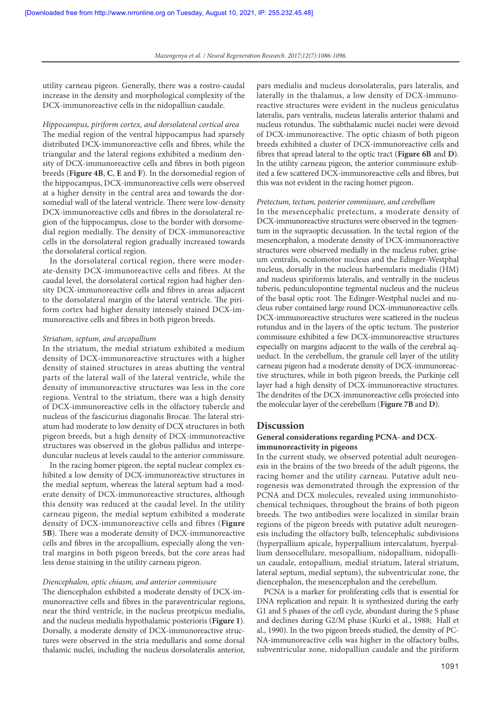utility carneau pigeon. Generally, there was a rostro-caudal increase in the density and morphological complexity of the DCX-immunoreactive cells in the nidopalliun caudale.

## Hippocampus, piriform cortex, and dorsolateral cortical area

The medial region of the ventral hippocampus had sparsely distributed DCX-immunoreactive cells and fibres, while the triangular and the lateral regions exhibited a medium density of DCX-immunoreactive cells and fibres in both pigeon breeds (**Figure 4B**, **C**, **E** and **F**). In the dorsomedial region of the hippocampus, DCX-immunoreactive cells were observed at a higher density in the central area and towards the dorsomedial wall of the lateral ventricle. There were low-density DCX-immunoreactive cells and fibres in the dorsolateral region of the hippocampus, close to the border with dorsomedial region medially. The density of DCX-immunoreactive cells in the dorsolateral region gradually increased towards the dorsolateral cortical region.

In the dorsolateral cortical region, there were moderate-density DCX-immunoreactive cells and fibres. At the caudal level, the dorsolateral cortical region had higher density DCX-immunoreactive cells and fibres in areas adjacent to the dorsolateral margin of the lateral ventricle. The piriform cortex had higher density intensely stained DCX-immunoreactive cells and fibres in both pigeon breeds.

#### Striatum, septum, and arcopallium

In the striatum, the medial striatum exhibited a medium density of DCX-immunoreactive structures with a higher density of stained structures in areas abutting the ventral parts of the lateral wall of the lateral ventricle, while the density of immunoreactive structures was less in the core regions. Ventral to the striatum, there was a high density of DCX-immunoreactive cells in the olfactory tubercle and nucleus of the fascicurius diagonalis Brocae. The lateral striatum had moderate to low density of DCX structures in both pigeon breeds, but a high density of DCX-immunoreactive structures was observed in the globus pallidus and interpeduncular nucleus at levels caudal to the anterior commissure.

In the racing homer pigeon, the septal nuclear complex exhibited a low density of DCX-immunoreactive structures in the medial septum, whereas the lateral septum had a moderate density of DCX-immunoreactive structures, although this density was reduced at the caudal level. In the utility carneau pigeon, the medial septum exhibited a moderate density of DCX-immunoreactive cells and fibres (**Figure 5B**). There was a moderate density of DCX-immunoreactive cells and fibres in the arcopallium, especially along the ventral margins in both pigeon breeds, but the core areas had less dense staining in the utility carneau pigeon.

## Diencephalon, optic chiasm, and anterior commissure

The diencephalon exhibited a moderate density of DCX-immunoreactive cells and fibres in the paraventricular regions, near the third ventricle, in the nucleus preotpicus medialis, and the nucleus medialis hypothalamic posterioris (**Figure 1**). Dorsally, a moderate density of DCX-immunoreactive structures were observed in the stria medullaris and some dorsal thalamic nuclei, including the nucleus dorsolateralis anterior,

pars medialis and nucleus dorsolateralis, pars lateralis, and laterally in the thalamus, a low density of DCX-immunoreactive structures were evident in the nucleus geniculatus lateralis, pars ventralis, nucleus lateralis anterior thalami and nucleus rotundus. The subthalamic nuclei nuclei were devoid of DCX-immunoreactive. The optic chiasm of both pigeon breeds exhibited a cluster of DCX-immunoreactive cells and fibres that spread lateral to the optic tract (**Figure 6B** and **D**). In the utility carneau pigeon, the anterior commissure exhibited a few scattered DCX-immunoreactive cells and fibres, but this was not evident in the racing homer pigeon.

#### Pretectum, tectum, posterior commissure, and cerebellum

In the mesencephalic pretectum, a moderate density of DCX-immunoreactive structures were observed in the tegmentum in the supraoptic decussation. In the tectal region of the mesencephalon, a moderate density of DCX-immunoreactive structures were observed medially in the nucleus ruber, griseum centralis, oculomotor nucleus and the Edinger-Westphal nucleus, dorsally in the nucleus harbenularis medialis (HM) and nucleus spiriformis lateralis, and ventrally in the nucleus tuberis, pedunculopontine tegmental nucleus and the nucleus of the basal optic root. The Edinger-Westphal nuclei and nucleus ruber contained large round DCX-immunoreactive cells. DCX-immunoreactive structures were scattered in the nucleus rotundus and in the layers of the optic tectum. The posterior commissure exhibited a few DCX-immunoreactive structures especially on margins adjacent to the walls of the cerebral aqueduct. In the cerebellum, the granule cell layer of the utility carneau pigeon had a moderate density of DCX-immunoreactive structures, while in both pigeon breeds, the Purkinje cell layer had a high density of DCX-immunoreactive structures. The dendrites of the DCX-immunoreactive cells projected into the molecular layer of the cerebellum (**Figure 7B** and **D**).

#### **Discussion**

## **General considerations regarding PCNA- and DCXimmunoreactivity in pigeons**

In the current study, we observed potential adult neurogenesis in the brains of the two breeds of the adult pigeons, the racing homer and the utility carneau. Putative adult neurogenesis was demonstrated through the expression of the PCNA and DCX molecules, revealed using immunohistochemical techniques, throughout the brains of both pigeon breeds. The two antibodies were localized in similar brain regions of the pigeon breeds with putative adult neurogenesis including the olfactory bulb, telencephalic subdivisions (hyperpallium apicale, hyperpallium intercalatum, hyerpallium densocellulare, mesopallium, nidopallium, nidopalliun caudale, entopallium, medial striatum, lateral striatum, lateral septum, medial septum), the subventricular zone, the diencephalon, the mesencephalon and the cerebellum.

PCNA is a marker for proliferating cells that is essential for DNA replication and repair. It is synthesized during the early G1 and S phases of the cell cycle, abundant during the S phase and declines during G2/M phase (Kurki et al., 1988; Hall et al., 1990). In the two pigeon breeds studied, the density of PC-NA-immunoreactive cells was higher in the olfactory bulbs, subventricular zone, nidopalliun caudale and the piriform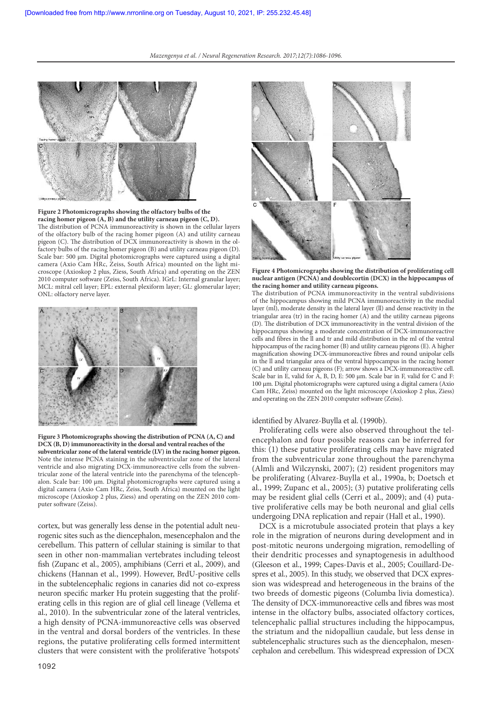

**Figure 2 Photomicrographs showing the olfactory bulbs of the racing homer pigeon (A, B) and the utility carneau pigeon (C, D).** The distribution of PCNA immunoreactivity is shown in the cellular layers of the olfactory bulb of the racing homer pigeon (A) and utility carneau pigeon (C). The distribution of DCX immunoreactivity is shown in the olfactory bulbs of the racing homer pigeon (B) and utility carneau pigeon (D). Scale bar: 500 µm. Digital photomicrographs were captured using a digital camera (Axio Cam HRc, Zeiss, South Africa) mounted on the light microscope (Axioskop 2 plus, Ziess, South Africa) and operating on the ZEN 2010 computer software (Zeiss, South Africa). IGrL: Internal granular layer; MCL: mitral cell layer; EPL: external plexiform layer; GL: glomerular layer; ONL: olfactory nerve layer.



**Figure 3 Photomicrographs showing the distribution of PCNA (A, C) and DCX (B, D) immunoreactivity in the dorsal and ventral reaches of the subventricular zone of the lateral ventricle (LV) in the racing homer pigeon.**  Note the intense PCNA staining in the subventricular zone of the lateral ventricle and also migrating DCX-immunoreactive cells from the subventricular zone of the lateral ventricle into the parenchyma of the telencephalon. Scale bar: 100 µm. Digital photomicrographs were captured using a digital camera (Axio Cam HRc, Zeiss, South Africa) mounted on the light microscope (Axioskop 2 plus, Ziess) and operating on the ZEN 2010 computer software (Zeiss).

cortex, but was generally less dense in the potential adult neurogenic sites such as the diencephalon, mesencephalon and the cerebellum. This pattern of cellular staining is similar to that seen in other non-mammalian vertebrates including teleost fish (Zupanc et al., 2005), amphibians (Cerri et al., 2009), and chickens (Hannan et al., 1999). However, BrdU-positive cells in the subtelencephalic regions in canaries did not co-express neuron specific marker Hu protein suggesting that the proliferating cells in this region are of glial cell lineage (Vellema et al., 2010). In the subventricular zone of the lateral ventricles, a high density of PCNA-immunoreactive cells was observed in the ventral and dorsal borders of the ventricles. In these regions, the putative proliferating cells formed intermittent clusters that were consistent with the proliferative 'hotspots'



**Figure 4 Photomicrographs showing the distribution of proliferating cell nuclear antigen (PCNA) and doublecortin (DCX) in the hippocampus of the racing homer and utility carneau pigeons.**

The distribution of PCNA immunoreactivity in the ventral subdivisions of the hippocampus showing mild PCNA immunoreactivity in the medial layer (ml), moderate density in the lateral layer (ll) and dense reactivity in the triangular area (tr) in the racing homer  $(A)$  and the utility carneau pigeons (D). The distribution of DCX immunoreactivity in the ventral division of the hippocampus showing a moderate concentration of DCX-immunoreactive cells and fibres in the ll and tr and mild distribution in the ml of the ventral hippocampus of the racing homer (B) and utility carneau pigeons (E). A higher magnification showing DCX-immunoreactive fibres and round unipolar cells in the ll and triangular area of the ventral hippocampus in the racing homer (C) and utility carneau pigeons (F); arrow shows a DCX-immunoreactive cell. Scale bar in E, valid for A, B, D, E: 500 µm. Scale bar in F, valid for C and F: 100 µm. Digital photomicrographs were captured using a digital camera (Axio Cam HRc, Zeiss) mounted on the light microscope (Axioskop 2 plus, Ziess) and operating on the ZEN 2010 computer software (Zeiss).

#### identified by Alvarez-Buylla et al. (1990b).

Proliferating cells were also observed throughout the telencephalon and four possible reasons can be inferred for this: (1) these putative proliferating cells may have migrated from the subventricular zone throughout the parenchyma (Almli and Wilczynski, 2007); (2) resident progenitors may be proliferating (Alvarez-Buylla et al., 1990a, b; Doetsch et al., 1999; Zupanc et al., 2005); (3) putative proliferating cells may be resident glial cells (Cerri et al., 2009); and (4) putative proliferative cells may be both neuronal and glial cells undergoing DNA replication and repair (Hall et al., 1990).

DCX is a microtubule associated protein that plays a key role in the migration of neurons during development and in post-mitotic neurons undergoing migration, remodelling of their dendritic processes and synaptogenesis in adulthood (Gleeson et al., 1999; Capes-Davis et al., 2005; Couillard‐Despres et al., 2005). In this study, we observed that DCX expression was widespread and heterogeneous in the brains of the two breeds of domestic pigeons (Columba livia domestica). The density of DCX-immunoreactive cells and fibres was most intense in the olfactory bulbs, associated olfactory cortices, telencephalic pallial structures including the hippocampus, the striatum and the nidopalliun caudale, but less dense in subtelencephalic structures such as the diencephalon, mesencephalon and cerebellum. This widespread expression of DCX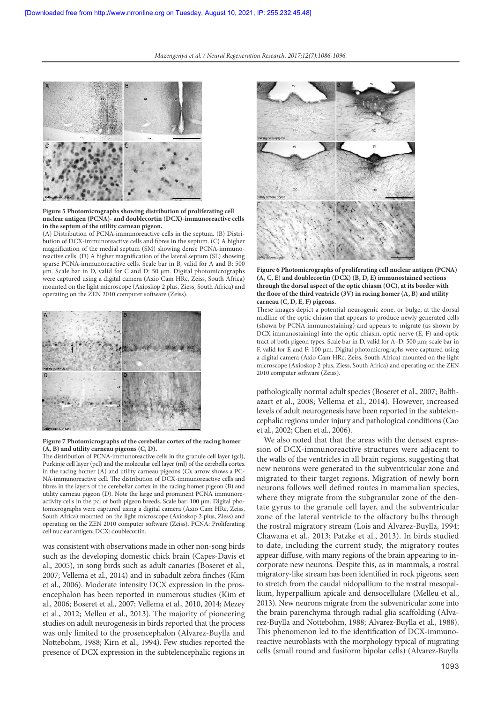

**Figure 5 Photomicrographs showing distribution of proliferating cell nuclear antigen (PCNA)- and doublecortin (DCX)-immunoreactive cells in the septum of the utility carneau pigeon.**

(A) Distribution of PCNA-immunoreactive cells in the septum. (B) Distribution of DCX-immunoreactive cells and fibres in the septum. (C) A higher magnification of the medial septum (SM) showing dense PCNA-immunoreactive cells. (D) A higher magnification of the lateral septum (SL) showing sparse PCNA-immunoreactive cells. Scale bar in B, valid for A and B: 500 µm. Scale bar in D, valid for C and D: 50 µm. Digital photomicrographs were captured using a digital camera (Axio Cam HRc, Zeiss, South Africa) mounted on the light microscope (Axioskop 2 plus, Ziess, South Africa) and operating on the ZEN 2010 computer software (Zeiss).



#### **Figure 7 Photomicrographs of the cerebellar cortex of the racing homer (A, B) and utility carneau pigeons (C, D).**

The distribution of PCNA-immunoreactive cells in the granule cell layer (gcl), Purkinje cell layer (pcl) and the molecular cell layer (ml) of the cerebella cortex in the racing homer (A) and utility carneau pigeons (C); arrow shows a PC-NA-immunoreactive cell. The distribution of DCX-immunoreactive cells and fibres in the layers of the cerebellar cortex in the racing homer pigeon (B) and utility carneau pigeon (D). Note the large and prominent PCNA immunoreactivity cells in the pcl of both pigeon breeds. Scale bar: 100 µm. Digital photomicrographs were captured using a digital camera (Axio Cam HRc, Zeiss, South Africa) mounted on the light microscope (Axioskop 2 plus, Ziess) and operating on the ZEN 2010 computer software (Zeiss). PCNA: Proliferating cell nuclear antigen; DCX: doublecortin.

was consistent with observations made in other non-song birds such as the developing domestic chick brain (Capes-Davis et al., 2005), in song birds such as adult canaries (Boseret et al., 2007; Vellema et al., 2014) and in subadult zebra finches (Kim et al., 2006). Moderate intensity DCX expression in the prosencephalon has been reported in numerous studies (Kim et al., 2006; Boseret et al., 2007; Vellema et al., 2010, 2014; Mezey et al., 2012; Melleu et al., 2013). The majority of pioneering studies on adult neurogenesis in birds reported that the process was only limited to the prosencephalon (Alvarez-Buylla and Nottebohm, 1988; Kirn et al., 1994). Few studies reported the presence of DCX expression in the subtelencephalic regions in





These images depict a potential neurogenic zone, or bulge, at the dorsal midline of the optic chiasm that appears to produce newly generated cells (shown by PCNA immunostaining) and appears to migrate (as shown by DCX immunostaining) into the optic chiasm, optic nerve (E, F) and optic tract of both pigeon types. Scale bar in D, valid for A–D: 500 µm; scale bar in F, valid for E and F: 100 µm. Digital photomicrographs were captured using a digital camera (Axio Cam HRc, Zeiss, South Africa) mounted on the light microscope (Axioskop 2 plus, Ziess, South Africa) and operating on the ZEN 2010 computer software (Zeiss).

pathologically normal adult species (Boseret et al., 2007; Balthazart et al., 2008; Vellema et al., 2014). However, increased levels of adult neurogenesis have been reported in the subtelencephalic regions under injury and pathological conditions (Cao et al., 2002; Chen et al., 2006).

We also noted that that the areas with the densest expression of DCX-immunoreactive structures were adjacent to the walls of the ventricles in all brain regions, suggesting that new neurons were generated in the subventricular zone and migrated to their target regions. Migration of newly born neurons follows well defined routes in mammalian species, where they migrate from the subgranular zone of the dentate gyrus to the granule cell layer, and the subventricular zone of the lateral ventricle to the olfactory bulbs through the rostral migratory stream (Lois and Alvarez-Buylla, 1994; Chawana et al., 2013; Patzke et al., 2013). In birds studied to date, including the current study, the migratory routes appear diffuse, with many regions of the brain appearing to incorporate new neurons. Despite this, as in mammals, a rostral migratory-like stream has been identified in rock pigeons, seen to stretch from the caudal nidopallium to the rostral mesopallium, hyperpallium apicale and densocellulare (Melleu et al., 2013). New neurons migrate from the subventricular zone into the brain parenchyma through radial glia scaffolding (Alvarez-Buylla and Nottebohm, 1988; Alvarez-Buylla et al., 1988). This phenomenon led to the identification of DCX-immunoreactive neuroblasts with the morphology typical of migrating cells (small round and fusiform bipolar cells) (Alvarez-Buylla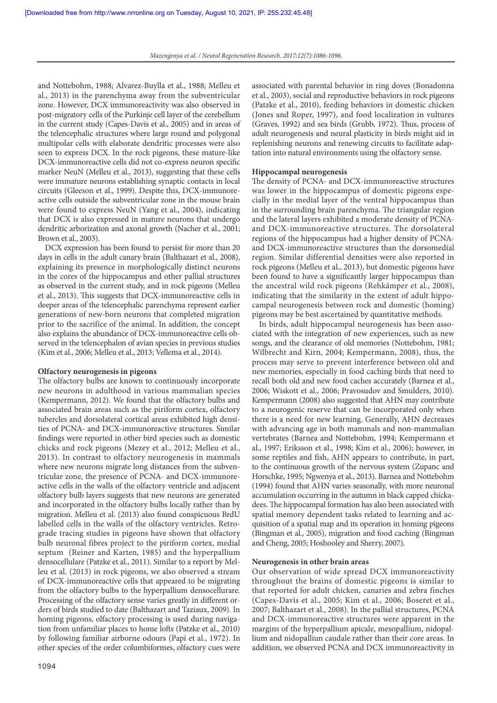and Nottebohm, 1988; Alvarez-Buylla et al., 1988; Melleu et al., 2013) in the parenchyma away from the subventricular zone. However, DCX immunoreactivity was also observed in post-migratory cells of the Purkinje cell layer of the cerebellum in the current study (Capes-Davis et al., 2005) and in areas of the telencephalic structures where large round and polygonal multipolar cells with elaborate dendritic processes were also seen to express DCX. In the rock pigeons, these mature-like DCX-immunoreactive cells did not co-express neuron specific marker NeuN (Melleu et al., 2013), suggesting that these cells were immature neurons establishing synaptic contacts in local circuits (Gleeson et al., 1999). Despite this, DCX-immunoreactive cells outside the subventricular zone in the mouse brain were found to express NeuN (Yang et al., 2004), indicating that DCX is also expressed in mature neurons that undergo dendritic arborization and axonal growth (Nacher et al., 2001; Brown et al., 2003).

DCX expression has been found to persist for more than 20 days in cells in the adult canary brain (Balthazart et al., 2008), explaining its presence in morphologically distinct neurons in the cores of the hippocampus and other pallial structures as observed in the current study, and in rock pigeons (Melleu et al., 2013). This suggests that DCX-immunoreactive cells in deeper areas of the telencephalic parenchyma represent earlier generations of new-born neurons that completed migration prior to the sacrifice of the animal. In addition, the concept also explains the abundance of DCX-immunoreactive cells observed in the telencephalon of avian species in previous studies (Kim et al., 2006; Melleu et al., 2013; Vellema et al., 2014).

#### **Olfactory neurogenesis in pigeons**

The olfactory bulbs are known to continuously incorporate new neurons in adulthood in various mammalian species (Kempermann, 2012). We found that the olfactory bulbs and associated brain areas such as the piriform cortex, olfactory tubercles and dorsolateral cortical areas exhibited high densities of PCNA- and DCX-immunoreactive structures. Similar findings were reported in other bird species such as domestic chicks and rock pigeons (Mezey et al., 2012; Melleu et al., 2013). In contrast to olfactory neurogenesis in mammals where new neurons migrate long distances from the subventricular zone, the presence of PCNA- and DCX-immunoreactive cells in the walls of the olfactory ventricle and adjacent olfactory bulb layers suggests that new neurons are generated and incorporated in the olfactory bulbs locally rather than by migration. Melleu et al. (2013) also found conspicuous BrdU labelled cells in the walls of the olfactory ventricles. Retrograde tracing studies in pigeons have shown that olfactory bulb neuronal fibres project to the piriform cortex, medial septum (Reiner and Karten, 1985) and the hyperpallium densocellulare (Patzke et al., 2011). Similar to a report by Melleu et al. (2013) in rock pigeons, we also observed a stream of DCX-immunoreactive cells that appeared to be migrating from the olfactory bulbs to the hyperpallium densocellurare. Processing of the olfactory sense varies greatly in different orders of birds studied to date (Balthazart and Taziaux, 2009). In homing pigeons, olfactory processing is used during navigation from unfamiliar places to home lofts (Patzke et al., 2010) by following familiar airborne odours (Papi et al., 1972). In other species of the order columbiformes, olfactory cues were

associated with parental behavior in ring doves (Bonadonna et al., 2003), social and reproductive behaviors in rock pigeons (Patzke et al., 2010), feeding behaviors in domestic chicken (Jones and Roper, 1997), and food localization in vultures (Graves, 1992) and sea birds (Grubb, 1972). Thus, process of adult neurogenesis and neural plasticity in birds might aid in replenishing neurons and renewing circuits to facilitate adaptation into natural environments using the olfactory sense.

#### **Hippocampal neurogenesis**

The density of PCNA- and DCX-immunoreactive structures was lower in the hippocampus of domestic pigeons especially in the medial layer of the ventral hippocampus than in the surrounding brain parenchyma. The triangular region and the lateral layers exhibited a moderate density of PCNAand DCX-immunoreactive structures. The dorsolateral regions of the hippocampus had a higher density of PCNAand DCX-immunoreactive structures than the dorsomedial region. Similar differential densities were also reported in rock pigeons (Melleu et al., 2013), but domestic pigeons have been found to have a significantly larger hippocampus than the ancestral wild rock pigeons (Rehkämper et al., 2008), indicating that the similarity in the extent of adult hippocampal neurogenesis between rock and domestic (homing) pigeons may be best ascertained by quantitative methods.

In birds, adult hippocampal neurogenesis has been associated with the integration of new experiences, such as new songs, and the clearance of old memories (Nottebohm, 1981; Wilbrecht and Kirn, 2004; Kempermann, 2008), thus, the process may serve to prevent interference between old and new memories, especially in food caching birds that need to recall both old and new food caches accurately (Barnea et al., 2006; Wiskott et al., 2006; Pravosudov and Smulders, 2010). Kempermann (2008) also suggested that AHN may contribute to a neurogenic reserve that can be incorporated only when there is a need for new learning. Generally, AHN decreases with advancing age in both mammals and non-mammalian vertebrates (Barnea and Nottebohm, 1994; Kempermann et al., 1997; Eriksson et al., 1998; Kim et al., 2006); however, in some reptiles and fish, AHN appears to contribute, in part, to the continuous growth of the nervous system (Zupanc and Horschke, 1995; Ngwenya et al., 2013). Barnea and Nottebohm (1994) found that AHN varies seasonally, with more neuronal accumulation occurring in the autumn in black capped chickadees. The hippocampal formation has also been associated with spatial memory dependent tasks related to learning and acquisition of a spatial map and its operation in homing pigeons (Bingman et al., 2005), migration and food caching (Bingman and Cheng, 2005; Hoshooley and Sherry, 2007).

### **Neurogenesis in other brain areas**

Our observation of wide spread DCX immunoreactivity throughout the brains of domestic pigeons is similar to that reported for adult chicken, canaries and zebra finches (Capes-Davis et al., 2005; Kim et al., 2006; Boseret et al., 2007; Balthazart et al., 2008). In the pallial structures, PCNA and DCX-immunoreactive structures were apparent in the margins of the hyperpallium apicale, mesopallium, nidopallium and nidopalliun caudale rather than their core areas. In addition, we observed PCNA and DCX immunoreactivity in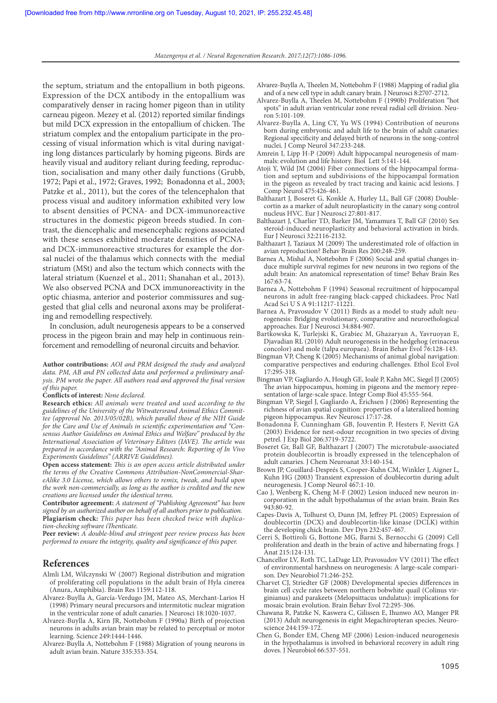the septum, striatum and the entopallium in both pigeons. Expression of the DCX antibody in the entopallium was comparatively denser in racing homer pigeon than in utility carneau pigeon. Mezey et al. (2012) reported similar findings but mild DCX expression in the entopallium of chicken. The striatum complex and the entopalium participate in the processing of visual information which is vital during navigating long distances particularly by homing pigeons. Birds are heavily visual and auditory reliant during feeding, reproduction, socialisation and many other daily functions (Grubb, 1972; Papi et al., 1972; Graves, 1992; Bonadonna et al., 2003; Patzke et al., 2011), but the cores of the telencephalon that process visual and auditory information exhibited very low to absent densities of PCNA- and DCX-immunoreactive structures in the domestic pigeon breeds studied. In contrast, the diencephalic and mesencephalic regions associated with these senses exhibited moderate densities of PCNAand DCX-immunoreactive structures for example the dorsal nuclei of the thalamus which connects with the medial striatum (MSt) and also the tectum which connects with the lateral striatum (Kuenzel et al., 2011; Shanahan et al., 2013). We also observed PCNA and DCX immunoreactivity in the optic chiasma, anterior and posterior commissures and suggested that glial cells and neuronal axons may be proliferating and remodelling respectively.

In conclusion, adult neurogenesis appears to be a conserved process in the pigeon brain and may help in continuous reinforcement and remodelling of neuronal circuits and behavior.

**Author contributions:** AOI and PRM designed the study and analyzed data. PM, AB and PN collected data and performed a preliminary analysis. PM wrote the paper. All authors read and approved the final version of this paper.

#### **Conflicts of interest:** None declared.

**Research ethics:** All animals were treated and used according to the guidelines of the University of the Witwatersrand Animal Ethics Committee (approval No. 2013/05/02B), which parallel those of the NIH Guide for the Care and Use of Animals in scientific experimentation and "Consensus Author Guidelines on Animal Ethics and Welfare" produced by the International Association of Veterinary Editors (IAVE). The article was prepared in accordance with the "Animal Research: Reporting of In Vivo Experiments Guidelines" (ARRIVE Guidelines).

**Open access statement:** This is an open access article distributed under the terms of the Creative Commons Attribution-NonCommercial-ShareAlike 3.0 License, which allows others to remix, tweak, and build upon the work non-commercially, as long as the author is credited and the new creations are licensed under the identical terms.

**Contributor agreement:** A statement of "Publishing Agreement" has been signed by an authorized author on behalf of all authors prior to publication. **Plagiarism check:** This paper has been checked twice with duplication-checking software iThenticate.

Peer review: A double-blind and stringent peer review process has been performed to ensure the integrity, quality and significance of this paper.

## **References**

- Almli LM, Wilczynski W (2007) Regional distribution and migration of proliferating cell populations in the adult brain of Hyla cinerea (Anura, Amphibia). Brain Res 1159:112-118.
- Alvarez-Buylla A, García-Verdugo JM, Mateo AS, Merchant-Larios H (1998) Primary neural precursors and intermitotic nuclear migration in the ventricular zone of adult canaries. J Neurosci 18:1020-1037.
- Alvarez-Buylla A, Kirn JR, Nottebohm F (1990a) Birth of projection neurons in adults avian brain may be related to perceptual or motor learning. Science 249:1444-1446.
- Alvarez-Buylla A, Nottebohm F (1988) Migration of young neurons in adult avian brain. Nature 335:353-354.
- Alvarez-Buylla A, Theelen M, Nottebohm F (1988) Mapping of radial glia and of a new cell type in adult canary brain. J Neurosci 8:2707-2712.
- Alvarez-Buylla A, Theelen M, Nottebohm F (1990b) Proliferation "hot spots" in adult avian ventricular zone reveal radial cell division. Neuron  $5:101-109$ .
- Alvarez‐Buylla A, Ling CY, Yu WS (1994) Contribution of neurons born during embryonic and adult life to the brain of adult canaries: Regional specificity and delayed birth of neurons in the song‐control nuclei. J Comp Neurol 347:233-248.
- Amrein I, Lipp H-P (2009) Adult hippocampal neurogenesis of mammals: evolution and life history. Biol Lett 5:141-144.
- Atoji Y, Wild JM (2004) Fiber connections of the hippocampal formation and septum and subdivisions of the hippocampal formation in the pigeon as revealed by tract tracing and kainic acid lesions. J Comp Neurol 475:426-461.
- Balthazart J, Boseret G, Konkle A, Hurley LL, Ball GF (2008) Doublecortin as a marker of adult neuroplasticity in the canary song control nucleus HVC. Eur J Neurosci 27:801-817.
- Balthazart J, Charlier TD, Barker JM, Yamamura T, Ball GF (2010) Sex steroid-induced neuroplasticity and behavioral activation in birds. Eur J Neurosci 32:2116-2132.
- Balthazart J, Taziaux M (2009) The underestimated role of olfaction in avian reproduction? Behav Brain Res 200:248-259.
- Barnea A, Mishal A, Nottebohm F (2006) Social and spatial changes induce multiple survival regimes for new neurons in two regions of the adult brain: An anatomical representation of time? Behav Brain Res 167:63-74.
- Barnea A, Nottebohm F (1994) Seasonal recruitment of hippocampal neurons in adult free-ranging black-capped chickadees. Proc Natl Acad Sci U S A 91:11217-11221.
- Barnea A, Pravosudov V (2011) Birds as a model to study adult neurogenesis: Bridging evolutionary, comparative and neuroethological approaches. Eur J Neurosci 34:884-907.
- Bartkowska K, Turlejski K, Grabiec M, Ghazaryan A, Yavruoyan E, Djavadian RL (2010) Adult neurogenesis in the hedgehog (erinaceus concolor) and mole (talpa europaea). Brain Behav Evol 76:128-143.
- Bingman VP, Cheng K (2005) Mechanisms of animal global navigation: comparative perspectives and enduring challenges. Ethol Ecol Evol 17:295-318.
- Bingman VP, Gagliardo A, Hough GE, Ioalé P, Kahn MC, Siegel JJ (2005) The avian hippocampus, homing in pigeons and the memory representation of large-scale space. Integr Comp Biol 45:555-564.
- Bingman VP, Siegel J, Gagliardo A, Erichsen J (2006) Representing the richness of avian spatial cognition: properties of a lateralized homing pigeon hippocampus. Rev Neurosci 17:17-28.
- Bonadonna F, Cunningham GB, Jouventin P, Hesters F, Nevitt GA (2003) Evidence for nest-odour recognition in two species of diving petrel. J Exp Biol 206:3719-3722.
- Boseret Gr, Ball GF, Balthazart J (2007) The microtubule-associated protein doublecortin is broadly expressed in the telencephalon of adult canaries. J Chem Neuroanat 33:140-154.
- Brown JP, Couillard-Després S, Cooper-Kuhn CM, Winkler J, Aigner L, Kuhn HG (2003) Transient expression of doublecortin during adult neurogenesis. J Comp Neurol 467:1-10.
- Cao J, Wenberg K, Cheng M-F (2002) Lesion induced new neuron incorporation in the adult hypothalamus of the avian brain. Brain Res 943:80-92.
- Capes-Davis A, Tolhurst O, Dunn JM, Jeffrey PL (2005) Expression of doublecortin (DCX) and doublecortin-like kinase (DCLK) within the developing chick brain. Dev Dyn 232:457-467.
- Cerri S, Bottiroli G, Bottone MG, Barni S, Bernocchi G (2009) Cell proliferation and death in the brain of active and hibernating frogs. J Anat 215:124-131.
- Chancellor LV, Roth TC, LaDage LD, Pravosudov VV (2011) The effect of environmental harshness on neurogenesis: A large‐scale comparison. Dev Neurobiol 71:246-252.
- Charvet CJ, Striedter GF (2008) Developmental species differences in brain cell cycle rates between northern bobwhite quail (Colinus virginianus) and parakeets (Melopsittacus undulatus): implications for mosaic brain evolution. Brain Behav Evol 72:295-306.
- Chawana R, Patzke N, Kaswera C, Gilissen E, Ihunwo AO, Manger PR (2013) Adult neurogenesis in eight Megachiropteran species. Neuroscience 244:159-172.
- Chen G, Bonder EM, Cheng MF (2006) Lesion‐induced neurogenesis in the hypothalamus is involved in behavioral recovery in adult ring doves. J Neurobiol 66:537-551.